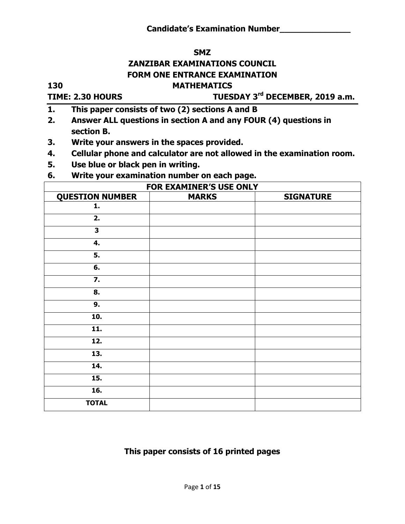#### **SMZ**

# **ZANZIBAR EXAMINATIONS COUNCIL**

# **FORM ONE ENTRANCE EXAMINATION**

#### **130 MATHEMATICS**

#### **TIME: 2.30 HOURS**

# **rd DECEMBER, 2019 a.m.**

- **1. This paper consists of two (2) sections A and B**
- **2. Answer ALL questions in section A and any FOUR (4) questions in section B.**
- **3. Write your answers in the spaces provided.**
- **4. Cellular phone and calculator are not allowed in the examination room.**
- **5. Use blue or black pen in writing.**
- **6. Write your examination number on each page.**

| <b>FOR EXAMINER'S USE ONLY</b> |              |                  |
|--------------------------------|--------------|------------------|
| <b>QUESTION NUMBER</b>         | <b>MARKS</b> | <b>SIGNATURE</b> |
| 1.                             |              |                  |
| 2.                             |              |                  |
| $\overline{\mathbf{3}}$        |              |                  |
| 4.                             |              |                  |
| 5.                             |              |                  |
| 6.                             |              |                  |
| $\overline{7}$ .               |              |                  |
| 8.                             |              |                  |
| 9.                             |              |                  |
| 10.                            |              |                  |
| 11.                            |              |                  |
| 12.                            |              |                  |
| 13.                            |              |                  |
| 14.                            |              |                  |
| 15.                            |              |                  |
| 16.                            |              |                  |
| <b>TOTAL</b>                   |              |                  |

# **This paper consists of 16 printed pages**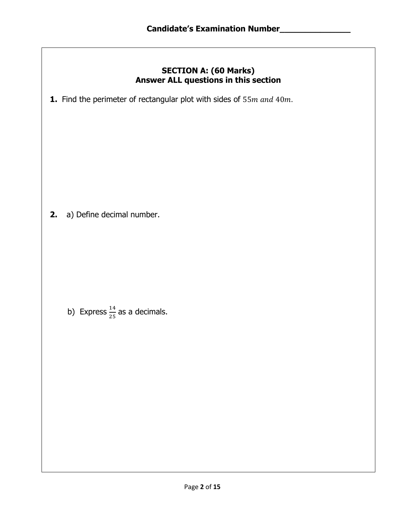#### **SECTION A: (60 Marks) Answer ALL questions in this section**

**1.** Find the perimeter of rectangular plot with sides of 55m and 40m.

 **2.** a) Define decimal number.

b) Express  $\frac{14}{25}$  as a decimals.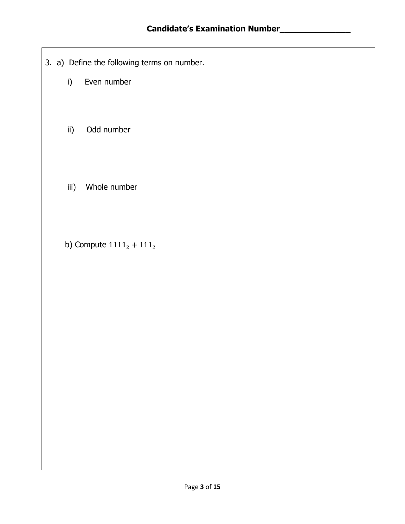- 3. a) Define the following terms on number.
	- i) Even number
	- ii) Odd number
	- iii) Whole number
	- b) Compute  $1111_2 + 111_2$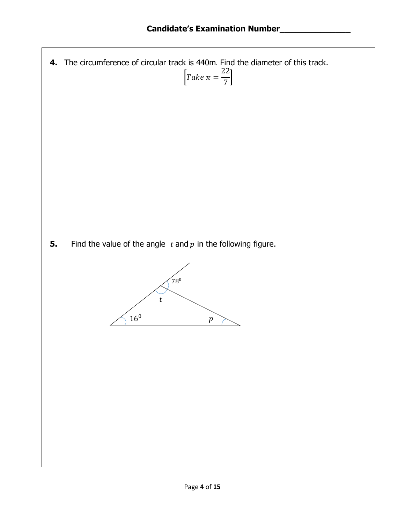**4.** The circumference of circular track is 440m. Find the diameter of this track. I  $\overline{\mathbf{c}}$ 7  $\cdot$ 

**5.** Find the value of the angle  $t$  and  $p$  in the following figure.

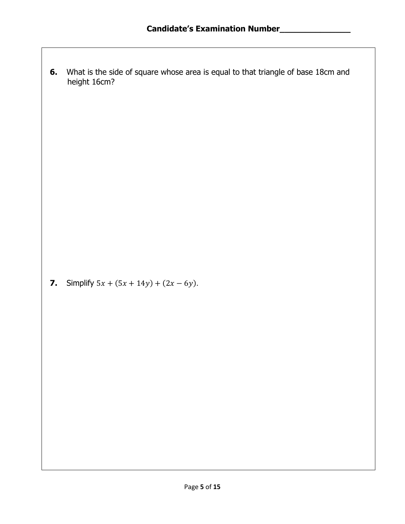**6.** What is the side of square whose area is equal to that triangle of base 18cm and height 16cm?

**7.** Simplify  $5x + (5x + 14y) + (2x - 6y)$ .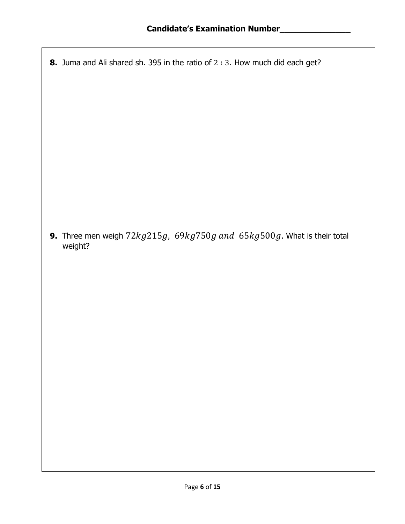**8.** Juma and Ali shared sh. 395 in the ratio of  $2:3$ . How much did each get?

**9.** Three men weigh  $72kg215g$ ,  $69kg750g$  and  $65kg500g$ . What is their total weight?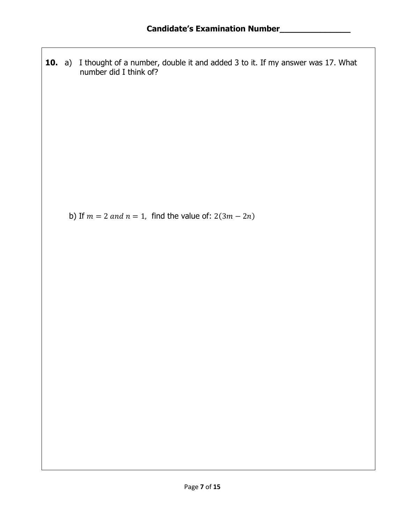**10.** a) I thought of a number, double it and added 3 to it. If my answer was 17. What number did I think of?

b) If  $m = 2$  and  $n = 1$ , find the value of:  $2(3m - 2n)$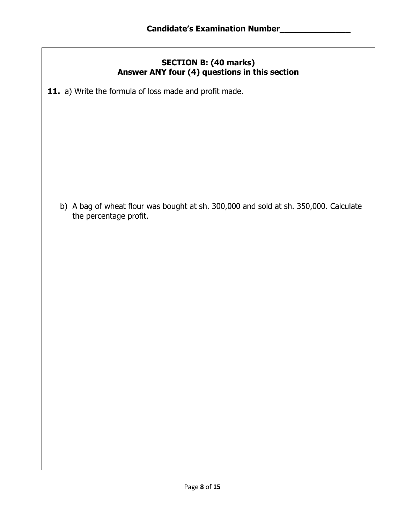### **SECTION B: (40 marks) Answer ANY four (4) questions in this section**

**11.** a) Write the formula of loss made and profit made.

 b) A bag of wheat flour was bought at sh. 300,000 and sold at sh. 350,000. Calculate the percentage profit.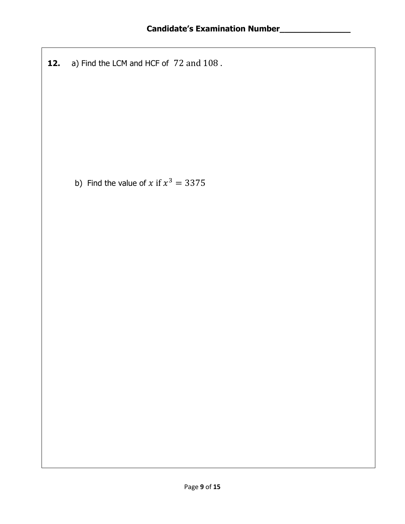**12.** a) Find the LCM and HCF of 72 and 108.

b) Find the value of x if  $x^3$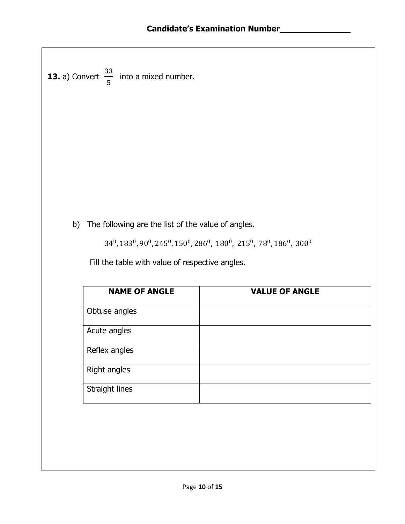**13.** a) Convert 3  $\frac{33}{5}$  into a mixed number.

b) The following are the list of the value of angles.

 $34^0$ ,  $183^0$ ,  $90^0$ ,  $245^0$ ,  $150^0$ ,  $286^0$ ,  $\,180^0$ ,  $\,215^0$ ,  $\,78^0$ ,  $186^0$ ,

Fill the table with value of respective angles.

| <b>NAME OF ANGLE</b> | <b>VALUE OF ANGLE</b> |
|----------------------|-----------------------|
| Obtuse angles        |                       |
| Acute angles         |                       |
| Reflex angles        |                       |
| Right angles         |                       |
| Straight lines       |                       |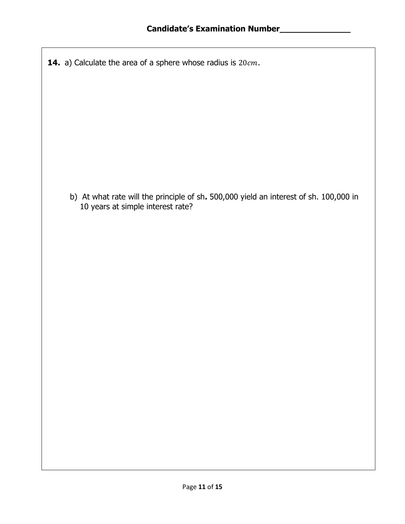**14.** a) Calculate the area of a sphere whose radius is  $20cm$ .

 b) At what rate will the principle of sh**.** 500,000 yield an interest of sh. 100,000 in 10 years at simple interest rate?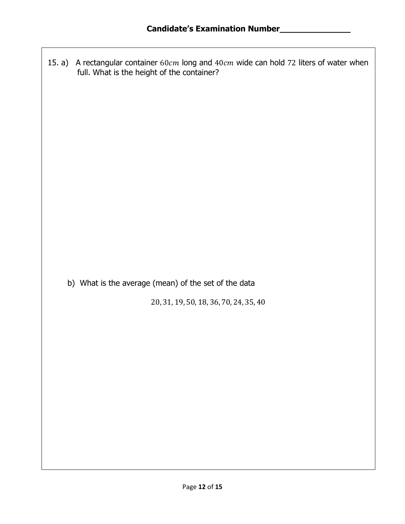15. a) A rectangular container  $60cm$  long and  $40cm$  wide can hold 72 liters of water when full. What is the height of the container?

b) What is the average (mean) of the set of the data

20, 31, 19, 50, 18, 36, 70, 24, 35, 40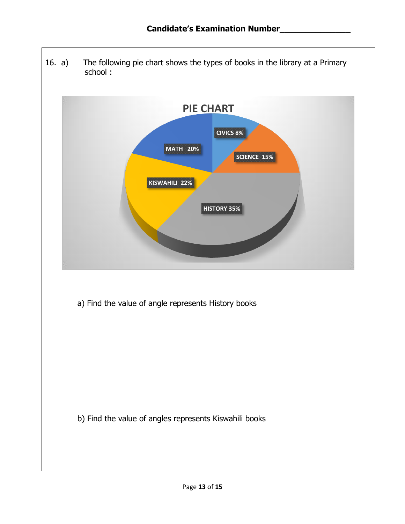16. a) The following pie chart shows the types of books in the library at a Primary school :



a) Find the value of angle represents History books

b) Find the value of angles represents Kiswahili books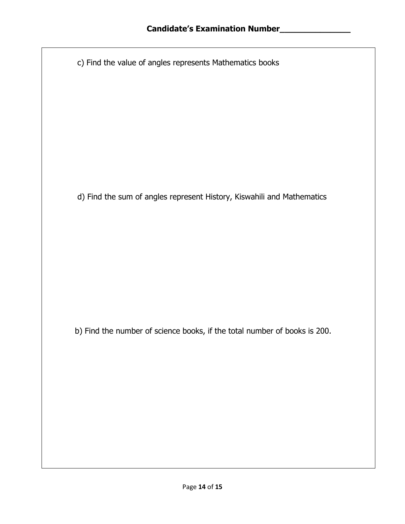c) Find the value of angles represents Mathematics books

d) Find the sum of angles represent History, Kiswahili and Mathematics

b) Find the number of science books, if the total number of books is 200.